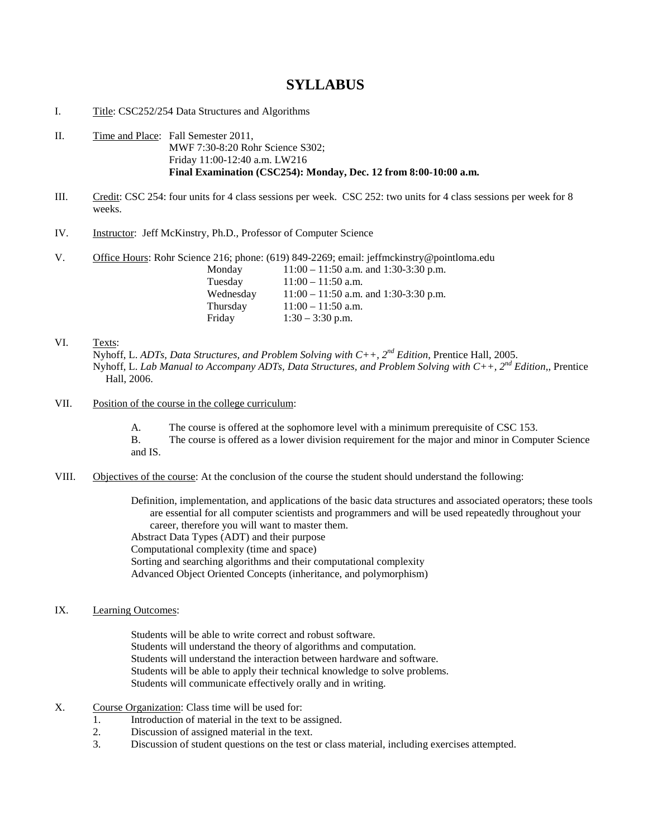## **SYLLABUS**

- I. Title: CSC252/254 Data Structures and Algorithms
- II. Time and Place: Fall Semester 2011, MWF 7:30-8:20 Rohr Science S302; Friday 11:00-12:40 a.m. LW216 **Final Examination (CSC254): Monday, Dec. 12 from 8:00-10:00 a.m.**
- III. Credit: CSC 254: four units for 4 class sessions per week. CSC 252: two units for 4 class sessions per week for 8 weeks.
- IV. Instructor: Jeff McKinstry, Ph.D., Professor of Computer Science
- V. Office Hours: Rohr Science 216; phone: (619) 849-2269; email: jeffmckinstry@pointloma.edu

| Monday    | $11:00 - 11:50$ a.m. and $1:30-3:30$ p.m. |
|-----------|-------------------------------------------|
| Tuesday   | $11:00 - 11:50$ a.m.                      |
| Wednesday | $11:00 - 11:50$ a.m. and 1:30-3:30 p.m.   |
| Thursday  | $11:00 - 11:50$ a.m.                      |
| Friday    | $1:30 - 3:30$ p.m.                        |

- VI. Texts: Nyhoff, L. *ADTs, Data Structures, and Problem Solving with C++, 2nd Edition*, Prentice Hall, 2005. Nyhoff, L. *Lab Manual to Accompany ADTs, Data Structures, and Problem Solving with C++, 2nd Edition*,, Prentice Hall, 2006.
- VII. Position of the course in the college curriculum:
	- A. The course is offered at the sophomore level with a minimum prerequisite of CSC 153.
	- B. The course is offered as a lower division requirement for the major and minor in Computer Science and IS.
- VIII. Objectives of the course: At the conclusion of the course the student should understand the following:

Definition, implementation, and applications of the basic data structures and associated operators; these tools are essential for all computer scientists and programmers and will be used repeatedly throughout your career, therefore you will want to master them.

Abstract Data Types (ADT) and their purpose Computational complexity (time and space) Sorting and searching algorithms and their computational complexity Advanced Object Oriented Concepts (inheritance, and polymorphism)

IX. Learning Outcomes:

Students will be able to write correct and robust software. Students will understand the theory of algorithms and computation. Students will understand the interaction between hardware and software. Students will be able to apply their technical knowledge to solve problems. Students will communicate effectively orally and in writing.

- X. Course Organization: Class time will be used for:
	- 1. Introduction of material in the text to be assigned.
	- 2. Discussion of assigned material in the text.
	- 3. Discussion of student questions on the test or class material, including exercises attempted.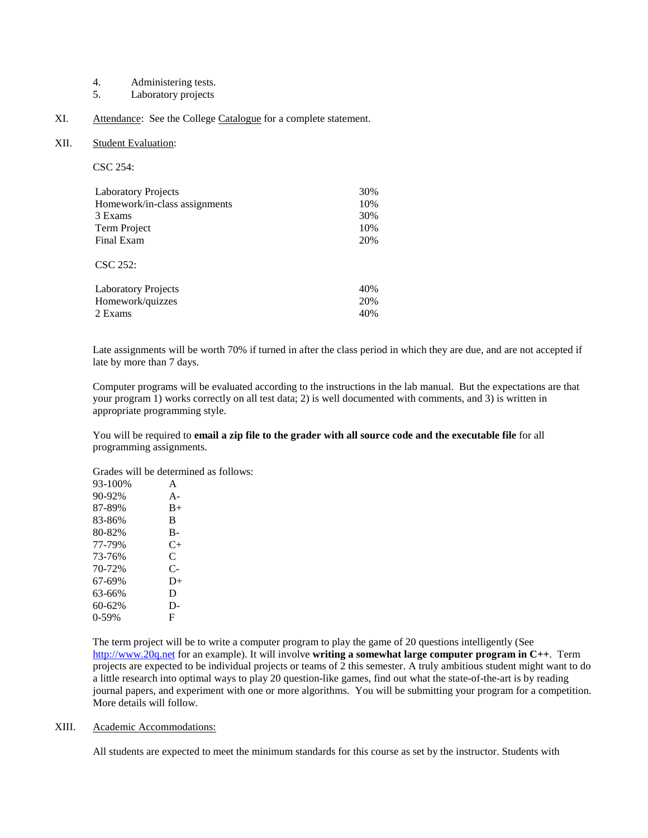- 4. Administering tests.<br>5. Laboratory projects
- Laboratory projects
- XI. Attendance: See the College Catalogue for a complete statement.

## XII. Student Evaluation:

| u |  |
|---|--|
| × |  |

| <b>Laboratory Projects</b>    | 30% |
|-------------------------------|-----|
| Homework/in-class assignments | 10% |
| 3 Exams                       | 30% |
| Term Project                  | 10% |
| Final Exam                    | 20% |
| $\text{CSC } 252:$            |     |
| <b>Laboratory Projects</b>    | 40% |
| Homework/quizzes              | 20% |
| 2 Exams                       | 40% |

Late assignments will be worth 70% if turned in after the class period in which they are due, and are not accepted if late by more than 7 days.

Computer programs will be evaluated according to the instructions in the lab manual. But the expectations are that your program 1) works correctly on all test data; 2) is well documented with comments, and 3) is written in appropriate programming style.

You will be required to **email a zip file to the grader with all source code and the executable file** for all programming assignments.

Grades will be determined as follows:

| 93-100% | A         |
|---------|-----------|
| 90-92%  | $A -$     |
| 87-89%  | $B+$      |
| 83-86%  | B         |
| 80-82%  | B-        |
| 77-79%  | $C_{\pm}$ |
| 73-76%  | C         |
| 70-72%  | $C-$      |
| 67-69%  | $D+$      |
| 63-66%  | D         |
| 60-62%  | D-        |
| $0-59%$ | F         |
|         |           |

The term project will be to write a computer program to play the game of 20 questions intelligently (See [http://www.20q.net](http://www.20q.net/) for an example). It will involve **writing a somewhat large computer program in C++**. Term projects are expected to be individual projects or teams of 2 this semester. A truly ambitious student might want to do a little research into optimal ways to play 20 question-like games, find out what the state-of-the-art is by reading journal papers, and experiment with one or more algorithms. You will be submitting your program for a competition. More details will follow.

## XIII. Academic Accommodations:

All students are expected to meet the minimum standards for this course as set by the instructor. Students with